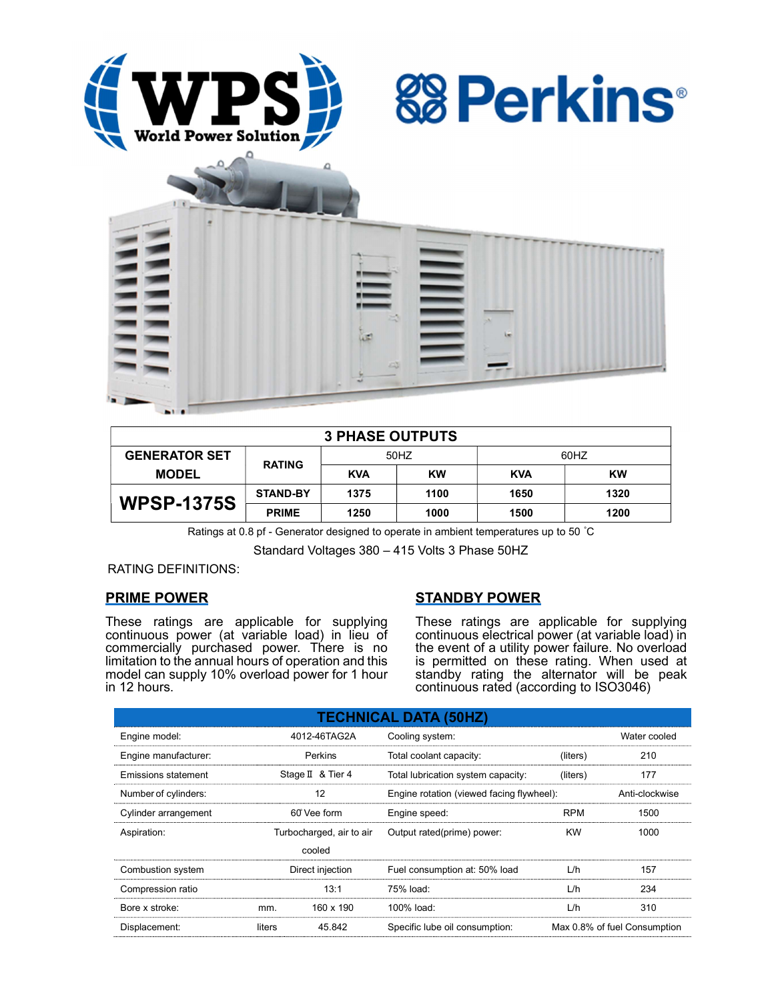





| <b>3 PHASE OUTPUTS</b> |                 |            |      |            |      |  |
|------------------------|-----------------|------------|------|------------|------|--|
| <b>GENERATOR SET</b>   | <b>RATING</b>   | 50HZ       |      | 60HZ       |      |  |
| <b>MODEL</b>           |                 | <b>KVA</b> | KW   | <b>KVA</b> | KW   |  |
| <b>WPSP-1375S</b>      | <b>STAND-BY</b> | 1375       | 1100 | 1650       | 1320 |  |
|                        | <b>PRIME</b>    | 1250       | 1000 | 1500       | 1200 |  |

Ratings at 0.8 pf - Generator designed to operate in ambient temperatures up to 50 °C

Standard Voltages 380 – 415 Volts 3 Phase 50HZ

RATING DEFINITIONS:

# PRIME POWER

These ratings are applicable for supplying continuous power (at variable load) in lieu of commercially purchased power. There is no limitation to the annual hours of operation and this model can supply 10% overload power for 1 hour in 12 hours.

# STANDBY POWER

These ratings are applicable for supplying continuous electrical power (at variable load) in the event of a utility power failure. No overload is permitted on these rating. When used at standby rating the alternator will be peak continuous rated (according to ISO3046)

| <b>TECHNICAL DATA (50HZ)</b> |                          |                   |                                           |            |                              |  |
|------------------------------|--------------------------|-------------------|-------------------------------------------|------------|------------------------------|--|
| Engine model:                |                          | 4012-46TAG2A      | Cooling system:                           |            | Water cooled                 |  |
| Engine manufacturer:         |                          | Perkins           | Total coolant capacity:                   | (liters)   | 210                          |  |
| <b>Emissions statement</b>   |                          | Stage II & Tier 4 | Total lubrication system capacity:        | (liters)   | 177                          |  |
| Number of cylinders:         | 12                       |                   | Engine rotation (viewed facing flywheel): |            | Anti-clockwise               |  |
| Cylinder arrangement         |                          | 60° Vee form      | Engine speed:                             | <b>RPM</b> | 1500                         |  |
| Aspiration:                  | Turbocharged, air to air |                   | Output rated(prime) power:                | <b>KW</b>  | 1000                         |  |
|                              |                          | cooled            |                                           |            |                              |  |
| Combustion system            | Direct injection         |                   | Fuel consumption at: 50% load             | L/h        | 157                          |  |
| Compression ratio            |                          | 13:1              | 75% load:                                 | L/h        | 234                          |  |
| Bore x stroke:               | mm.                      | 160 x 190         | 100% load:                                | L/h        | 310                          |  |
| Displacement:                | liters                   | 45.842            | Specific lube oil consumption:            |            | Max 0.8% of fuel Consumption |  |